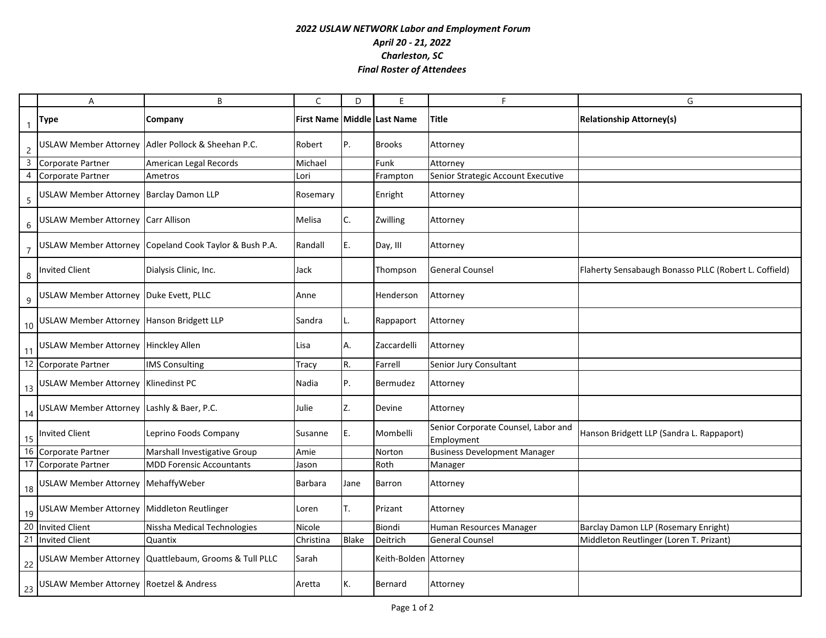## *2022 USLAW NETWORK Labor and Employment Forum April 20 - 21, 2022 Charleston, SC Final Roster of Attendees*

|                  | A                                            | B                                                      | C                           | D            | F                     | F                                                 | G                                                     |
|------------------|----------------------------------------------|--------------------------------------------------------|-----------------------------|--------------|-----------------------|---------------------------------------------------|-------------------------------------------------------|
| $\mathbf{1}$     | <b>Type</b>                                  | Company                                                | First Name Middle Last Name |              |                       | Title                                             | <b>Relationship Attorney(s)</b>                       |
| $\overline{c}$   |                                              | USLAW Member Attorney Adler Pollock & Sheehan P.C.     | Robert                      | P.           | <b>Brooks</b>         | Attorney                                          |                                                       |
| $\overline{3}$   | Corporate Partner                            | American Legal Records                                 | Michael                     |              | Funk                  | Attorney                                          |                                                       |
| $\overline{4}$   | Corporate Partner                            | Ametros                                                | Lori                        |              | Frampton              | Senior Strategic Account Executive                |                                                       |
| $\sqrt{5}$       | USLAW Member Attorney Barclay Damon LLP      |                                                        | Rosemary                    |              | Enright               | Attorney                                          |                                                       |
| $\sqrt{6}$       | USLAW Member Attorney Carr Allison           |                                                        | Melisa                      | C.           | Zwilling              | Attorney                                          |                                                       |
| $\overline{7}$   |                                              | USLAW Member Attorney Copeland Cook Taylor & Bush P.A. | Randall                     | E.           | Day, III              | Attorney                                          |                                                       |
| 8                | Invited Client                               | Dialysis Clinic, Inc.                                  | Jack                        |              | Thompson              | <b>General Counsel</b>                            | Flaherty Sensabaugh Bonasso PLLC (Robert L. Coffield) |
| $\boldsymbol{9}$ | USLAW Member Attorney Duke Evett, PLLC       |                                                        | Anne                        |              | Henderson             | Attorney                                          |                                                       |
|                  | 10 USLAW Member Attorney Hanson Bridgett LLP |                                                        | Sandra                      |              | Rappaport             | Attorney                                          |                                                       |
|                  | 11 USLAW Member Attorney Hinckley Allen      |                                                        | Lisa                        | А.           | Zaccardelli           | Attorney                                          |                                                       |
|                  | 12 Corporate Partner                         | <b>IMS Consulting</b>                                  | Tracy                       | R.           | Farrell               | Senior Jury Consultant                            |                                                       |
| 13               | USLAW Member Attorney Klinedinst PC          |                                                        | Nadia                       | P.           | Bermudez              | Attorney                                          |                                                       |
|                  | 14 USLAW Member Attorney Lashly & Baer, P.C. |                                                        | Julie                       | Z.           | Devine                | Attorney                                          |                                                       |
|                  | 15 Invited Client                            | Leprino Foods Company                                  | Susanne                     | E.           | Mombelli              | Senior Corporate Counsel, Labor and<br>Employment | Hanson Bridgett LLP (Sandra L. Rappaport)             |
|                  | 16 Corporate Partner                         | Marshall Investigative Group                           | Amie                        |              | Norton                | <b>Business Development Manager</b>               |                                                       |
|                  | 17 Corporate Partner                         | <b>MDD Forensic Accountants</b>                        | Jason                       |              | Roth                  | Manager                                           |                                                       |
|                  | 18 USLAW Member Attorney MehaffyWeber        |                                                        | <b>Barbara</b>              | Jane         | <b>Barron</b>         | Attorney                                          |                                                       |
| 19               | USLAW Member Attorney Middleton Reutlinger   |                                                        | Loren                       | Т.           | Prizant               | Attorney                                          |                                                       |
|                  | 20 Invited Client                            | Nissha Medical Technologies                            | Nicole                      |              | Biondi                | Human Resources Manager                           | Barclay Damon LLP (Rosemary Enright)                  |
|                  | 21 Invited Client                            | Quantix                                                | Christina                   | <b>Blake</b> | Deitrich              | <b>General Counsel</b>                            | Middleton Reutlinger (Loren T. Prizant)               |
| 22               |                                              | USLAW Member Attorney Quattlebaum, Grooms & Tull PLLC  | Sarah                       |              | Keith-Bolden Attorney |                                                   |                                                       |
|                  | 23 USLAW Member Attorney Roetzel & Andress   |                                                        | Aretta                      | К.           | Bernard               | Attorney                                          |                                                       |